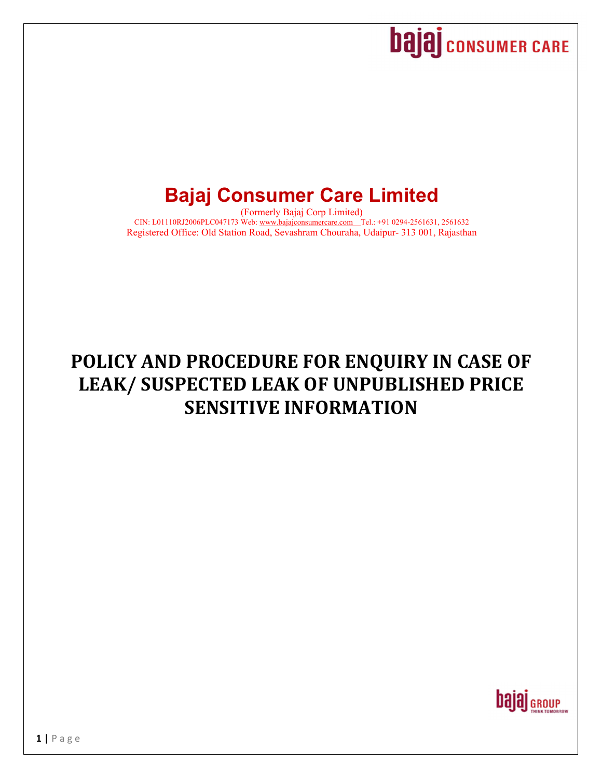# **Dajaj** CONSUMER CARE

# **Bajaj Consumer Care Limited**

(Formerly Bajaj Corp Limited) CIN: L01110RJ2006PLC047173 Web: www.bajajconsumercare.com Tel.: +91 0294-2561631, 2561632 Registered Office: Old Station Road, Sevashram Chouraha, Udaipur- 313 001, Rajasthan

# **POLICY AND PROCEDURE FOR ENQUIRY IN CASE OF LEAK/ SUSPECTED LEAK OF UNPUBLISHED PRICE SENSITIVE INFORMATION**

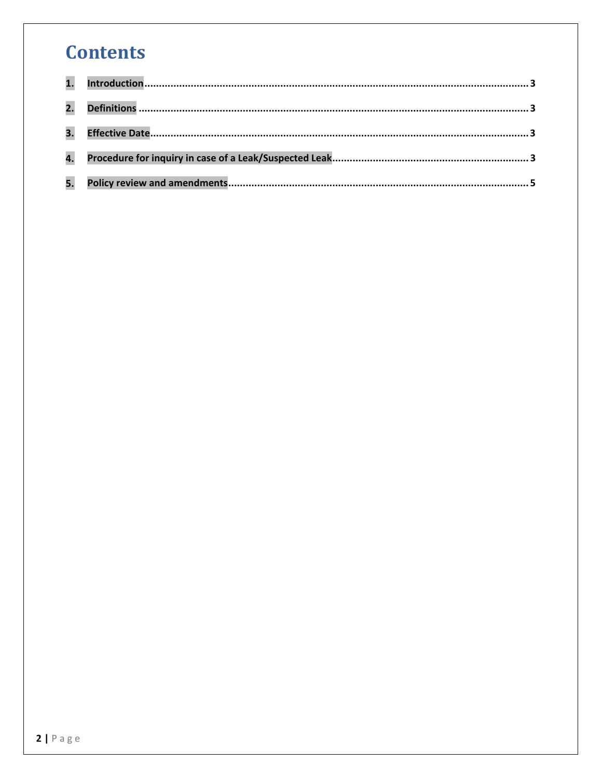## **Contents**

| 5. |  |
|----|--|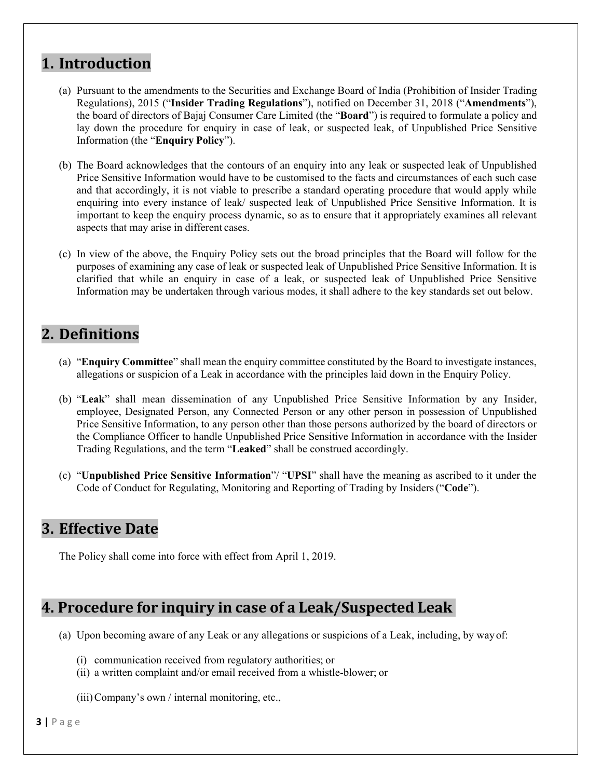## **1. Introduction**

- (a) Pursuant to the amendments to the Securities and Exchange Board of India (Prohibition of Insider Trading Regulations), 2015 ("**Insider Trading Regulations**"), notified on December 31, 2018 ("**Amendments**"), the board of directors of Bajaj Consumer Care Limited (the "**Board**") is required to formulate a policy and lay down the procedure for enquiry in case of leak, or suspected leak, of Unpublished Price Sensitive Information (the "**Enquiry Policy**").
- (b) The Board acknowledges that the contours of an enquiry into any leak or suspected leak of Unpublished Price Sensitive Information would have to be customised to the facts and circumstances of each such case and that accordingly, it is not viable to prescribe a standard operating procedure that would apply while enquiring into every instance of leak/ suspected leak of Unpublished Price Sensitive Information. It is important to keep the enquiry process dynamic, so as to ensure that it appropriately examines all relevant aspects that may arise in different cases.
- (c) In view of the above, the Enquiry Policy sets out the broad principles that the Board will follow for the purposes of examining any case of leak or suspected leak of Unpublished Price Sensitive Information. It is clarified that while an enquiry in case of a leak, or suspected leak of Unpublished Price Sensitive Information may be undertaken through various modes, it shall adhere to the key standards set out below.

#### **2. Definitions**

- (a) "**Enquiry Committee**" shall mean the enquiry committee constituted by the Board to investigate instances, allegations or suspicion of a Leak in accordance with the principles laid down in the Enquiry Policy.
- (b) "**Leak**" shall mean dissemination of any Unpublished Price Sensitive Information by any Insider, employee, Designated Person, any Connected Person or any other person in possession of Unpublished Price Sensitive Information, to any person other than those persons authorized by the board of directors or the Compliance Officer to handle Unpublished Price Sensitive Information in accordance with the Insider Trading Regulations, and the term "**Leaked**" shall be construed accordingly.
- (c) "**Unpublished Price Sensitive Information**"/ "**UPSI**" shall have the meaning as ascribed to it under the Code of Conduct for Regulating, Monitoring and Reporting of Trading by Insiders ("**Code**").

#### **3. Effective Date**

The Policy shall come into force with effect from April 1, 2019.

### **4. Procedure for inquiry in case of a Leak/Suspected Leak**

- (a) Upon becoming aware of any Leak or any allegations or suspicions of a Leak, including, by way of:
	- (i) communication received from regulatory authorities; or
	- (ii) a written complaint and/or email received from a whistle-blower; or
	- (iii)Company's own / internal monitoring, etc.,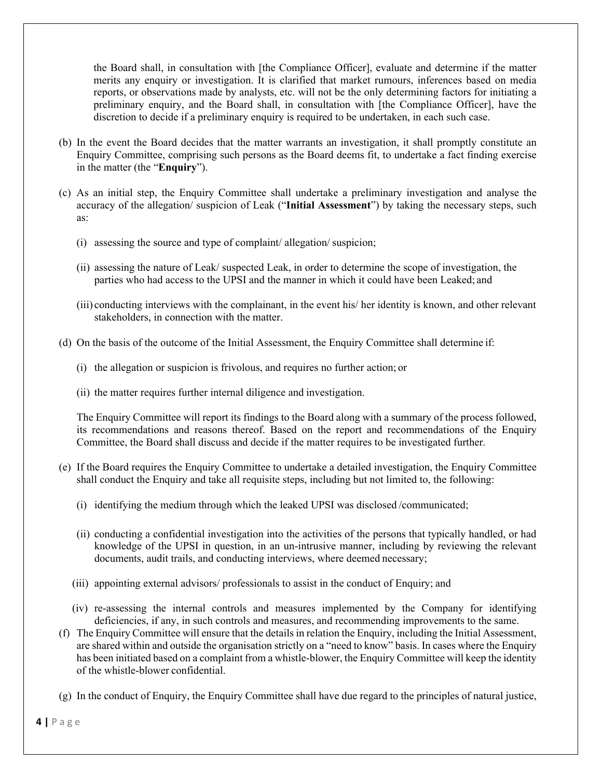the Board shall, in consultation with [the Compliance Officer], evaluate and determine if the matter merits any enquiry or investigation. It is clarified that market rumours, inferences based on media reports, or observations made by analysts, etc. will not be the only determining factors for initiating a preliminary enquiry, and the Board shall, in consultation with [the Compliance Officer], have the discretion to decide if a preliminary enquiry is required to be undertaken, in each such case.

- (b) In the event the Board decides that the matter warrants an investigation, it shall promptly constitute an Enquiry Committee, comprising such persons as the Board deems fit, to undertake a fact finding exercise in the matter (the "**Enquiry**").
- (c) As an initial step, the Enquiry Committee shall undertake a preliminary investigation and analyse the accuracy of the allegation/ suspicion of Leak ("**Initial Assessment**") by taking the necessary steps, such as:
	- (i) assessing the source and type of complaint/ allegation/ suspicion;
	- (ii) assessing the nature of Leak/ suspected Leak, in order to determine the scope of investigation, the parties who had access to the UPSI and the manner in which it could have been Leaked; and
	- (iii) conducting interviews with the complainant, in the event his/ her identity is known, and other relevant stakeholders, in connection with the matter.
- (d) On the basis of the outcome of the Initial Assessment, the Enquiry Committee shall determine if:
	- (i) the allegation or suspicion is frivolous, and requires no further action; or
	- (ii) the matter requires further internal diligence and investigation.

The Enquiry Committee will report its findings to the Board along with a summary of the process followed, its recommendations and reasons thereof. Based on the report and recommendations of the Enquiry Committee, the Board shall discuss and decide if the matter requires to be investigated further.

- (e) If the Board requires the Enquiry Committee to undertake a detailed investigation, the Enquiry Committee shall conduct the Enquiry and take all requisite steps, including but not limited to, the following:
	- (i) identifying the medium through which the leaked UPSI was disclosed /communicated;
	- (ii) conducting a confidential investigation into the activities of the persons that typically handled, or had knowledge of the UPSI in question, in an un-intrusive manner, including by reviewing the relevant documents, audit trails, and conducting interviews, where deemed necessary;
	- (iii) appointing external advisors/ professionals to assist in the conduct of Enquiry; and
	- (iv) re-assessing the internal controls and measures implemented by the Company for identifying deficiencies, if any, in such controls and measures, and recommending improvements to the same.
- (f) The Enquiry Committee will ensure that the details in relation the Enquiry, including the Initial Assessment, are shared within and outside the organisation strictly on a "need to know" basis. In cases where the Enquiry has been initiated based on a complaint from a whistle-blower, the Enquiry Committee will keep the identity of the whistle-blower confidential.
- (g) In the conduct of Enquiry, the Enquiry Committee shall have due regard to the principles of natural justice,